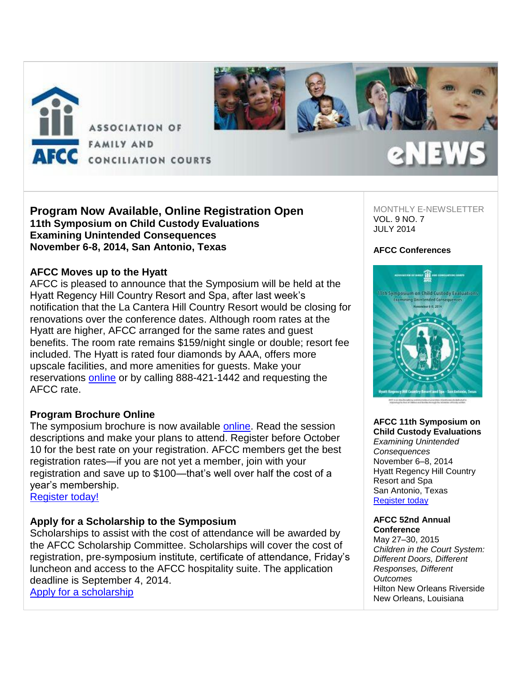

# **Program Now Available, Online Registration Open 11th Symposium on Child Custody Evaluations Examining Unintended Consequences November 6-8, 2014, San Antonio, Texas**

## **AFCC Moves up to the Hyatt**

AFCC is pleased to announce that the Symposium will be held at the Hyatt Regency Hill Country Resort and Spa, after last week's notification that the La Cantera Hill Country Resort would be closing for renovations over the conference dates. Although room rates at the Hyatt are higher, AFCC arranged for the same rates and guest benefits. The room rate remains \$159/night single or double; resort fee included. The Hyatt is rated four diamonds by AAA, offers more upscale facilities, and more amenities for guests. Make your reservations **online** or by calling 888-421-1442 and requesting the AFCC rate.

# **Program Brochure Online**

The symposium brochure is now available [online.](http://afcc.networkats.com/members_online/utilities/emailct.asp?d6ac30dc2cb29212b2aab7a970728c37a4eb48f6dc230ad8dd76eddf26b81c10b79a25c3da6a2753) Read the session descriptions and make your plans to attend. Register before October 10 for the best rate on your registration. AFCC members get the best registration rates—if you are not yet a member, join with your registration and save up to \$100—that's well over half the cost of a year's membership.

Register today!

# **Apply for a Scholarship to the Symposium**

Scholarships to assist with the cost of attendance will be awarded by the AFCC Scholarship Committee. Scholarships will cover the cost of registration, pre-symposium institute, certificate of attendance, Friday's luncheon and access to the AFCC hospitality suite. The application deadline is September 4, 2014. [Apply for a scholarship](http://afcc.networkats.com/members_online/utilities/emailct.asp?aa868da5ca9068e368617e4e67ac340406255d05dc230ad8dd76eddf26b81c10b79a25c3da6a2753)

MONTHLY E-NEWSLETTER VOL. 9 NO. 7 JULY 2014

### **AFCC Conferences**



**AFCC 11th Symposium on Child Custody Evaluations** *Examining Unintended Consequences* November 6–8, 2014 Hyatt Regency Hill Country Resort and Spa San Antonio, Texas [Register today](http://afcc.networkats.com/members_online/utilities/emailct.asp?39e336370c13aed09abeccd774493eb7bc109a13dc230ad8dd76eddf26b81c10b79a25c3da6a2753)

#### **AFCC 52nd Annual Conference**

May 27–30, 2015 *Children in the Court System: Different Doors, Different Responses, Different Outcomes* Hilton New Orleans Riverside New Orleans, Louisiana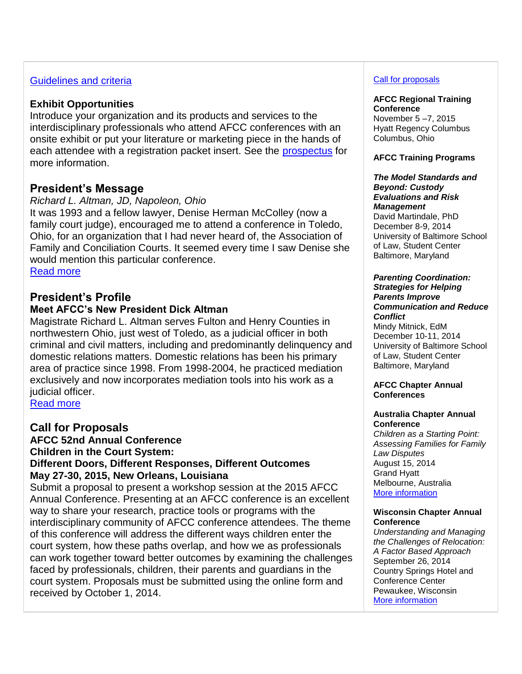# [Guidelines and criteria](http://afcc.networkats.com/members_online/utilities/emailct.asp?e5b2b27ed63edfc17c001bd995cfad4d631d3379dc230ad8dd76eddf26b81c10b79a25c3da6a2753)

# **Exhibit Opportunities**

Introduce your organization and its products and services to the interdisciplinary professionals who attend AFCC conferences with an onsite exhibit or put your literature or marketing piece in the hands of each attendee with a registration packet insert. See the [prospectus](http://afcc.networkats.com/members_online/utilities/emailct.asp?9d165b885b44f2683aa97bf0ddc40527a39bdb17dc230ad8dd76eddf26b81c10b79a25c3da6a2753) for more information.

# **President's Message**

# *Richard L. Altman, JD, Napoleon, Ohio*

It was 1993 and a fellow lawyer, Denise Herman McColley (now a family court judge), encouraged me to attend a conference in Toledo, Ohio, for an organization that I had never heard of, the Association of Family and Conciliation Courts. It seemed every time I saw Denise she would mention this particular conference.

[Read more](http://afcc.networkats.com/members_online/utilities/emailct.asp?d6dda2e03aac3bc03b6a92d4dfd4ad6fccfa74c6dc230ad8dd76eddf26b81c10b79a25c3da6a2753)

# **President's Profile**

# **Meet AFCC's New President Dick Altman**

Magistrate Richard L. Altman serves Fulton and Henry Counties in northwestern Ohio, just west of Toledo, as a judicial officer in both criminal and civil matters, including and predominantly delinquency and domestic relations matters. Domestic relations has been his primary area of practice since 1998. From 1998-2004, he practiced mediation exclusively and now incorporates mediation tools into his work as a judicial officer.

[Read more](http://afcc.networkats.com/members_online/utilities/emailct.asp?1df9772a5f5d4af097279f55d6241d084687a6e0dc230ad8dd76eddf26b81c10b79a25c3da6a2753)

# **Call for Proposals**

**AFCC 52nd Annual Conference**

**Children in the Court System:**

## **Different Doors, Different Responses, Different Outcomes May 27-30, 2015, New Orleans, Louisiana**

Submit a proposal to present a workshop session at the 2015 AFCC Annual Conference. Presenting at an AFCC conference is an excellent way to share your research, practice tools or programs with the interdisciplinary community of AFCC conference attendees. The theme of this conference will address the different ways children enter the court system, how these paths overlap, and how we as professionals can work together toward better outcomes by examining the challenges faced by professionals, children, their parents and guardians in the court system. Proposals must be submitted using the online form and received by October 1, 2014.

### [Call for proposals](http://afcc.networkats.com/members_online/utilities/emailct.asp?39e336370c13aed09abeccd774493eb7bc109a13dc230ad8dd76eddf26b81c10b79a25c3da6a2753)

# **AFCC Regional Training Conference**

November 5 –7, 2015 Hyatt Regency Columbus Columbus, Ohio

### **AFCC Training Programs**

#### *The Model Standards and Beyond: Custody Evaluations and Risk Management*

David Martindale, PhD December 8-9, 2014 University of Baltimore School of Law, Student Center Baltimore, Maryland

#### *Parenting Coordination: Strategies for Helping Parents Improve Communication and Reduce*

*Conflict* Mindy Mitnick, EdM December 10-11, 2014

University of Baltimore School of Law, Student Center Baltimore, Maryland

### **AFCC Chapter Annual Conferences**

### **Australia Chapter Annual Conference**

*Children as a Starting Point: Assessing Families for Family Law Disputes* August 15, 2014 Grand Hyatt Melbourne, Australia [More information](mailto:jennineoh1@bigpond.com) 

### **Wisconsin Chapter Annual Conference**

*Understanding and Managing the Challenges of Relocation: A Factor Based Approach* September 26, 2014 Country Springs Hotel and Conference Center Pewaukee, Wisconsin [More information](http://afcc.networkats.com/members_online/utilities/emailct.asp?a1cf4acfb7642437220593dd95bfb8b09da44dcedc230ad8dd76eddf26b81c10b79a25c3da6a2753)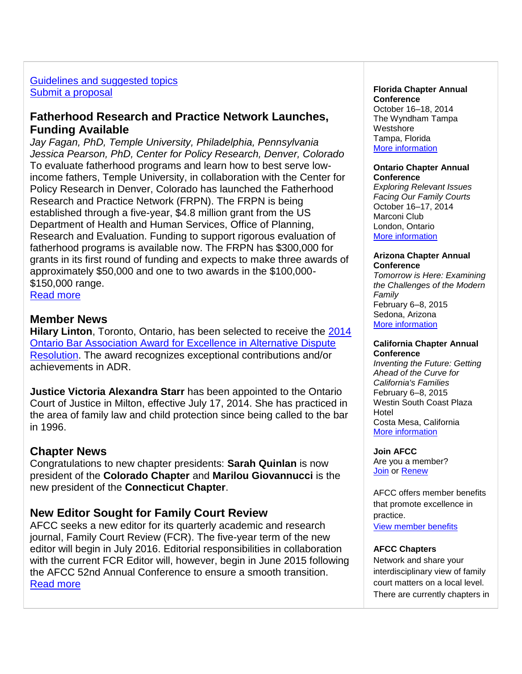# [Guidelines and suggested topics](http://afcc.networkats.com/members_online/utilities/emailct.asp?96b5d7f3177a27370d5e5d4f5cbc4161d851a117dc230ad8dd76eddf26b81c10b79a25c3da6a2753) [Submit a proposal](http://afcc.networkats.com/members_online/utilities/emailct.asp?8e9a3aad4970b7fa831ee9ba91ce9432d48c16e2dc230ad8dd76eddf26b81c10b79a25c3da6a2753)

# **Fatherhood Research and Practice Network Launches, Funding Available**

*Jay Fagan, PhD, Temple University, Philadelphia, Pennsylvania Jessica Pearson, PhD, Center for Policy Research, Denver, Colorado*  To evaluate fatherhood programs and learn how to best serve lowincome fathers, Temple University, in collaboration with the Center for Policy Research in Denver, Colorado has launched the Fatherhood Research and Practice Network (FRPN). The FRPN is being established through a five-year, \$4.8 million grant from the US Department of Health and Human Services, Office of Planning, Research and Evaluation. Funding to support rigorous evaluation of fatherhood programs is available now. The FRPN has \$300,000 for grants in its first round of funding and expects to make three awards of approximately \$50,000 and one to two awards in the \$100,000- \$150,000 range.

[Read more](http://afcc.networkats.com/members_online/utilities/emailct.asp?ba7e4b81fcdf97ec0fbd2203a9d867019f96f908dc230ad8dd76eddf26b81c10b79a25c3da6a2753)

# **Member News**

**Hilary Linton**, Toronto, Ontario, has been selected to receive the [2014](http://afcc.networkats.com/members_online/utilities/emailct.asp?5d83ae3c820c4eff3c1229cb4162f691a746ba3fdc230ad8dd76eddf26b81c10b79a25c3da6a2753)  [Ontario Bar Association Award for Excellence in Alternative Dispute](http://afcc.networkats.com/members_online/utilities/emailct.asp?5d83ae3c820c4eff3c1229cb4162f691a746ba3fdc230ad8dd76eddf26b81c10b79a25c3da6a2753)  [Resolution.](http://afcc.networkats.com/members_online/utilities/emailct.asp?5d83ae3c820c4eff3c1229cb4162f691a746ba3fdc230ad8dd76eddf26b81c10b79a25c3da6a2753) The award recognizes exceptional contributions and/or achievements in ADR.

**Justice Victoria Alexandra Starr** has been appointed to the Ontario Court of Justice in Milton, effective July 17, 2014. She has practiced in the area of family law and child protection since being called to the bar in 1996.

# **Chapter News**

Congratulations to new chapter presidents: **Sarah Quinlan** is now president of the **Colorado Chapter** and **Marilou Giovannucci** is the new president of the **Connecticut Chapter**.

# **New Editor Sought for Family Court Review**

AFCC seeks a new editor for its quarterly academic and research journal, Family Court Review (FCR). The five-year term of the new editor will begin in July 2016. Editorial responsibilities in collaboration with the current FCR Editor will, however, begin in June 2015 following the AFCC 52nd Annual Conference to ensure a smooth transition. [Read more](http://afcc.networkats.com/members_online/utilities/emailct.asp?519bfd413c3bfe38f897c1bd1e8d379eb2f5cd4cdc230ad8dd76eddf26b81c10b79a25c3da6a2753)

#### **Florida Chapter Annual Conference** October 16–18, 2014

The Wyndham Tampa **Westshore** Tampa, Florida [More information](http://afcc.networkats.com/members_online/utilities/emailct.asp?992c798945f897d4ca295024849bc7ae1199f171dc230ad8dd76eddf26b81c10b79a25c3da6a2753) 

#### **Ontario Chapter Annual Conference**

*Exploring Relevant Issues Facing Our Family Courts* October 16–17, 2014 Marconi Club London, Ontario [More information](http://afcc.networkats.com/members_online/utilities/emailct.asp?4eda27ac67ebd9396375ba9b01bf3f47fdfd2befdc230ad8dd76eddf26b81c10b79a25c3da6a2753)

#### **Arizona Chapter Annual Conference**

*Tomorrow is Here: Examining the Challenges of the Modern Family* February 6–8, 2015 Sedona, Arizona [More information](http://afcc.networkats.com/members_online/utilities/emailct.asp?2e67cf1784af155a4059eebcf527c6b06b5f4b83dc230ad8dd76eddf26b81c10b79a25c3da6a2753)

#### **California Chapter Annual Conference**

*Inventing the Future: Getting Ahead of the Curve for California's Families* February 6–8, 2015 Westin South Coast Plaza Hotel Costa Mesa, California [More information](http://afcc.networkats.com/members_online/utilities/emailct.asp?eba94d6294e3ba6c0eff5f1b5b96f8bfee056e0fdc230ad8dd76eddf26b81c10b79a25c3da6a2753)

**Join AFCC** Are you a member? [Join](http://afcc.networkats.com/members_online/utilities/emailct.asp?1334901329444775bf8d715acda1e1eb95868d68dc230ad8dd76eddf26b81c10b79a25c3da6a2753) or [Renew](http://afcc.networkats.com/members_online/utilities/emailct.asp?130df76576cc4ee7e2ceba60590ecc30986c901ddc230ad8dd76eddf26b81c10b79a25c3da6a2753)

AFCC offers member benefits that promote excellence in practice.

[View member benefits](http://afcc.networkats.com/members_online/utilities/emailct.asp?5906c6bd0a9e2942ab1a2b2bf2dfe28177773104dc230ad8dd76eddf26b81c10b79a25c3da6a2753)

### **AFCC Chapters**

Network and share your interdisciplinary view of family court matters on a local level. There are currently chapters in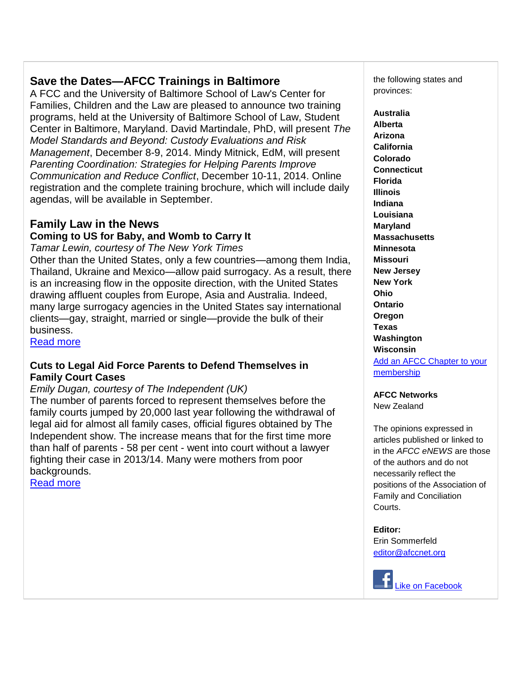# **Save the Dates—AFCC Trainings in Baltimore**

A FCC and the University of Baltimore School of Law's Center for Families, Children and the Law are pleased to announce two training programs, held at the University of Baltimore School of Law, Student Center in Baltimore, Maryland. David Martindale, PhD, will present *The Model Standards and Beyond: Custody Evaluations and Risk Management*, December 8-9, 2014. Mindy Mitnick, EdM, will present *Parenting Coordination: Strategies for Helping Parents Improve Communication and Reduce Conflict*, December 10-11, 2014. Online registration and the complete training brochure, which will include daily agendas, will be available in September.

# **Family Law in the News**

# **Coming to US for Baby, and Womb to Carry It**

*Tamar Lewin, courtesy of The New York Times*

Other than the United States, only a few countries—among them India, Thailand, Ukraine and Mexico—allow paid surrogacy. As a result, there is an increasing flow in the opposite direction, with the United States drawing affluent couples from Europe, Asia and Australia. Indeed, many large surrogacy agencies in the United States say international clients—gay, straight, married or single—provide the bulk of their business.

[Read more](http://afcc.networkats.com/members_online/utilities/emailct.asp?81f79089acad0933084d481ac05512e7507fe95adc230ad8dd76eddf26b81c10b79a25c3da6a2753)

# **Cuts to Legal Aid Force Parents to Defend Themselves in Family Court Cases**

# *Emily Dugan, courtesy of The Independent (UK)*

The number of parents forced to represent themselves before the family courts jumped by 20,000 last year following the withdrawal of legal aid for almost all family cases, official figures obtained by The Independent show. The increase means that for the first time more than half of parents - 58 per cent - went into court without a lawyer fighting their case in 2013/14. Many were mothers from poor backgrounds.

[Read more](http://afcc.networkats.com/members_online/utilities/emailct.asp?9b649359fe65b55d2453cae60f9ae56672706881dc230ad8dd76eddf26b81c10b79a25c3da6a2753)

the following states and provinces:

**Australia Alberta Arizona California Colorado Connecticut Florida Illinois Indiana Louisiana Maryland Massachusetts Minnesota Missouri New Jersey New York Ohio Ontario Oregon Texas Washington Wisconsin** [Add an AFCC Chapter to your](http://afcc.networkats.com/members_online/utilities/emailct.asp?fff43add00e62c6fcfed3603c9ce698478471afedc230ad8dd76eddf26b81c10b79a25c3da6a2753)  [membership](http://afcc.networkats.com/members_online/utilities/emailct.asp?fff43add00e62c6fcfed3603c9ce698478471afedc230ad8dd76eddf26b81c10b79a25c3da6a2753)

**AFCC Networks** New Zealand

The opinions expressed in articles published or linked to in the *AFCC eNEWS* are those of the authors and do not necessarily reflect the positions of the Association of Family and Conciliation Courts.

**Editor:** 

Erin Sommerfeld [editor@afccnet.org](mailto:editor@afccnet.org)

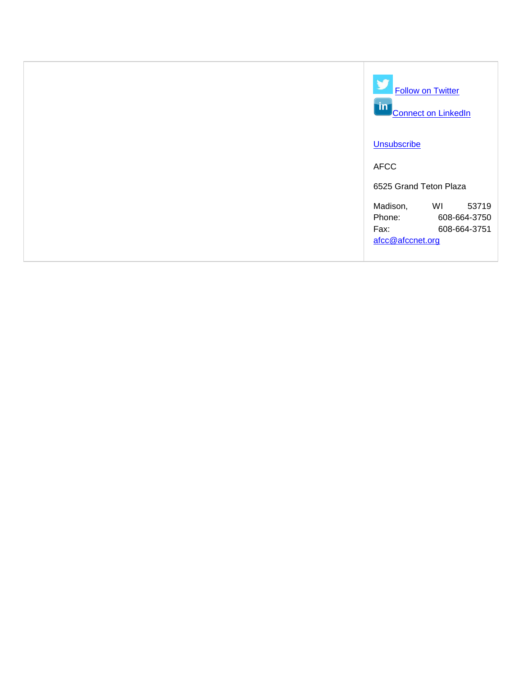| <b>Follow on Twitter</b><br>$\mathsf{m}$<br><b>Connect on LinkedIn</b>                        |
|-----------------------------------------------------------------------------------------------|
| <b>Unsubscribe</b>                                                                            |
| <b>AFCC</b>                                                                                   |
| 6525 Grand Teton Plaza                                                                        |
| Madison,<br>WI<br>53719<br>Phone:<br>608-664-3750<br>Fax:<br>608-664-3751<br>afcc@afccnet.org |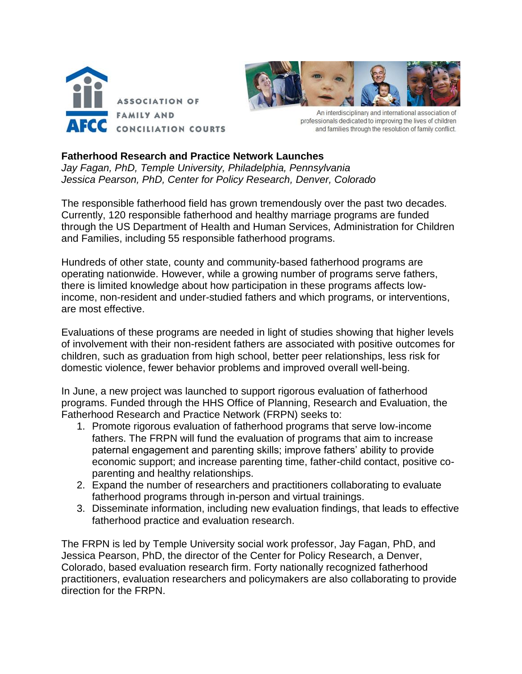



An interdisciplinary and international association of professionals dedicated to improving the lives of children and families through the resolution of family conflict.

## **Fatherhood Research and Practice Network Launches**

*Jay Fagan, PhD, Temple University, Philadelphia, Pennsylvania Jessica Pearson, PhD, Center for Policy Research, Denver, Colorado* 

The responsible fatherhood field has grown tremendously over the past two decades. Currently, 120 responsible fatherhood and healthy marriage programs are funded through the US Department of Health and Human Services, Administration for Children and Families, including 55 responsible fatherhood programs.

Hundreds of other state, county and community-based fatherhood programs are operating nationwide. However, while a growing number of programs serve fathers, there is limited knowledge about how participation in these programs affects lowincome, non-resident and under-studied fathers and which programs, or interventions, are most effective.

Evaluations of these programs are needed in light of studies showing that higher levels of involvement with their non-resident fathers are associated with positive outcomes for children, such as graduation from high school, better peer relationships, less risk for domestic violence, fewer behavior problems and improved overall well-being.

In June, a new project was launched to support rigorous evaluation of fatherhood programs. Funded through the HHS Office of Planning, Research and Evaluation, the Fatherhood Research and Practice Network (FRPN) seeks to:

- 1. Promote rigorous evaluation of fatherhood programs that serve low-income fathers. The FRPN will fund the evaluation of programs that aim to increase paternal engagement and parenting skills; improve fathers' ability to provide economic support; and increase parenting time, father-child contact, positive coparenting and healthy relationships.
- 2. Expand the number of researchers and practitioners collaborating to evaluate fatherhood programs through in-person and virtual trainings.
- 3. Disseminate information, including new evaluation findings, that leads to effective fatherhood practice and evaluation research.

The FRPN is led by Temple University social work professor, Jay Fagan, PhD, and Jessica Pearson, PhD, the director of the Center for Policy Research, a Denver, Colorado, based evaluation research firm. Forty nationally recognized fatherhood practitioners, evaluation researchers and policymakers are also collaborating to provide direction for the FRPN.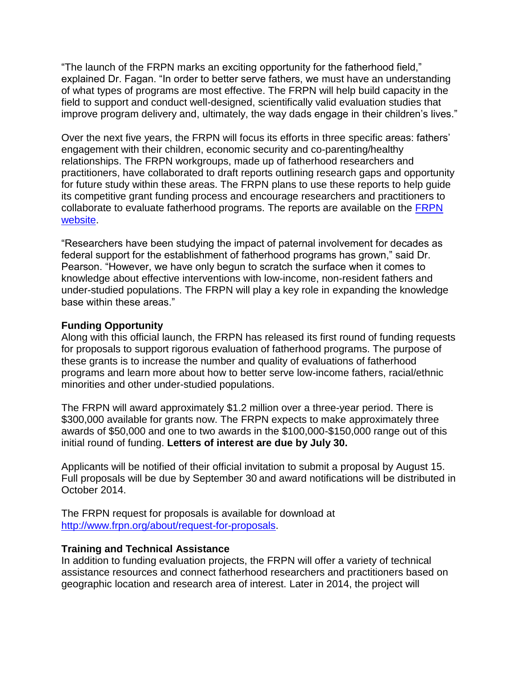"The launch of the FRPN marks an exciting opportunity for the fatherhood field," explained Dr. Fagan. "In order to better serve fathers, we must have an understanding of what types of programs are most effective. The FRPN will help build capacity in the field to support and conduct well-designed, scientifically valid evaluation studies that improve program delivery and, ultimately, the way dads engage in their children's lives."

Over the next five years, the FRPN will focus its efforts in three specific areas: fathers' engagement with their children, economic security and co-parenting/healthy relationships. The FRPN workgroups, made up of fatherhood researchers and practitioners, have collaborated to draft reports outlining research gaps and opportunity for future study within these areas. The FRPN plans to use these reports to help guide its competitive grant funding process and encourage researchers and practitioners to collaborate to evaluate fatherhood programs. The reports are available on the [FRPN](http://www.frpn.org/)  [website.](http://www.frpn.org/)

"Researchers have been studying the impact of paternal involvement for decades as federal support for the establishment of fatherhood programs has grown," said Dr. Pearson. "However, we have only begun to scratch the surface when it comes to knowledge about effective interventions with low-income, non-resident fathers and under-studied populations. The FRPN will play a key role in expanding the knowledge base within these areas."

# **Funding Opportunity**

Along with this official launch, the FRPN has released its first round of funding requests for proposals to support rigorous evaluation of fatherhood programs. The purpose of these grants is to increase the number and quality of evaluations of fatherhood programs and learn more about how to better serve low-income fathers, racial/ethnic minorities and other under-studied populations.

The FRPN will award approximately \$1.2 million over a three-year period. There is \$300,000 available for grants now. The FRPN expects to make approximately three awards of \$50,000 and one to two awards in the \$100,000-\$150,000 range out of this initial round of funding. **Letters of interest are due by July 30.**

Applicants will be notified of their official invitation to submit a proposal by August 15. Full proposals will be due by September 30 and award notifications will be distributed in October 2014.

The FRPN request for proposals is available for download at [http://www.frpn.org/about/request-for-proposals.](http://www.frpn.org/about/request-for-proposals)

# **Training and Technical Assistance**

In addition to funding evaluation projects, the FRPN will offer a variety of technical assistance resources and connect fatherhood researchers and practitioners based on geographic location and research area of interest. Later in 2014, the project will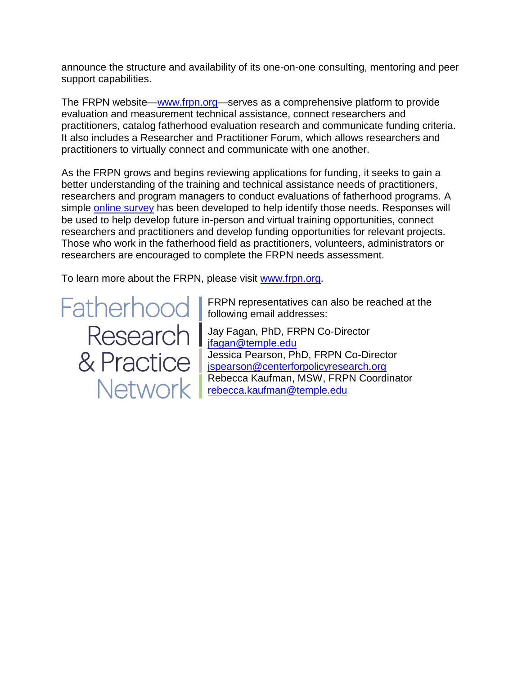announce the structure and availability of its one-on-one consulting, mentoring and peer support capabilities.

The FRPN website[—www.frpn.org—](http://www.frpn.org/)serves as a comprehensive platform to provide evaluation and measurement technical assistance, connect researchers and practitioners, catalog fatherhood evaluation research and communicate funding criteria. It also includes a Researcher and Practitioner Forum, which allows researchers and practitioners to virtually connect and communicate with one another.

As the FRPN grows and begins reviewing applications for funding, it seeks to gain a better understanding of the training and technical assistance needs of practitioners, researchers and program managers to conduct evaluations of fatherhood programs. A simple [online survey](http://www.surveymonkey.com/s/J7H7SL7) has been developed to help identify those needs. Responses will be used to help develop future in-person and virtual training opportunities, connect researchers and practitioners and develop funding opportunities for relevant projects. Those who work in the fatherhood field as practitioners, volunteers, administrators or researchers are encouraged to complete the FRPN needs assessment.

To learn more about the FRPN, please visit [www.frpn.org.](http://www.frpn.org/)

Fatherhood I & Practice | Network I

FRPN representatives can also be reached at the following email addresses:

Jay Fagan, PhD, FRPN Co-Director [jfagan@temple.edu](mailto:jfagan@temple.edu) Jessica Pearson, PhD, FRPN Co-Director [jspearson@centerforpolicyresearch.org](mailto:jspearson@centerforpolicyresearch.org) Rebecca Kaufman, MSW, FRPN Coordinator [rebecca.kaufman@temple.edu](mailto:rebecca.kaufman@temple.edu)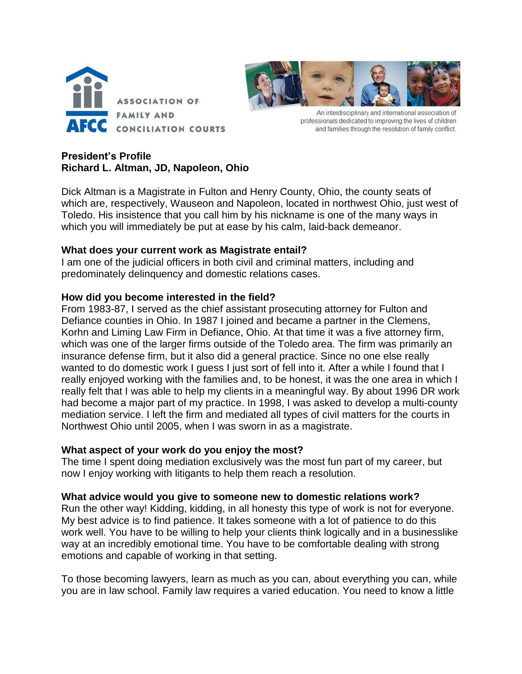



An interdisciplinary and international association of professionals dedicated to improving the lives of children and families through the resolution of family conflict.

# **President's Profile Richard L. Altman, JD, Napoleon, Ohio**

Dick Altman is a Magistrate in Fulton and Henry County, Ohio, the county seats of which are, respectively, Wauseon and Napoleon, located in northwest Ohio, just west of Toledo. His insistence that you call him by his nickname is one of the many ways in which you will immediately be put at ease by his calm, laid-back demeanor.

# **What does your current work as Magistrate entail?**

I am one of the judicial officers in both civil and criminal matters, including and predominately delinquency and domestic relations cases.

# **How did you become interested in the field?**

From 1983-87, I served as the chief assistant prosecuting attorney for Fulton and Defiance counties in Ohio. In 1987 I joined and became a partner in the Clemens, Korhn and Liming Law Firm in Defiance, Ohio. At that time it was a five attorney firm, which was one of the larger firms outside of the Toledo area. The firm was primarily an insurance defense firm, but it also did a general practice. Since no one else really wanted to do domestic work I quess I just sort of fell into it. After a while I found that I really enjoyed working with the families and, to be honest, it was the one area in which I really felt that I was able to help my clients in a meaningful way. By about 1996 DR work had become a major part of my practice. In 1998, I was asked to develop a multi-county mediation service. I left the firm and mediated all types of civil matters for the courts in Northwest Ohio until 2005, when I was sworn in as a magistrate.

# **What aspect of your work do you enjoy the most?**

The time I spent doing mediation exclusively was the most fun part of my career, but now I enjoy working with litigants to help them reach a resolution.

# **What advice would you give to someone new to domestic relations work?**

Run the other way! Kidding, kidding, in all honesty this type of work is not for everyone. My best advice is to find patience. It takes someone with a lot of patience to do this work well. You have to be willing to help your clients think logically and in a businesslike way at an incredibly emotional time. You have to be comfortable dealing with strong emotions and capable of working in that setting.

To those becoming lawyers, learn as much as you can, about everything you can, while you are in law school. Family law requires a varied education. You need to know a little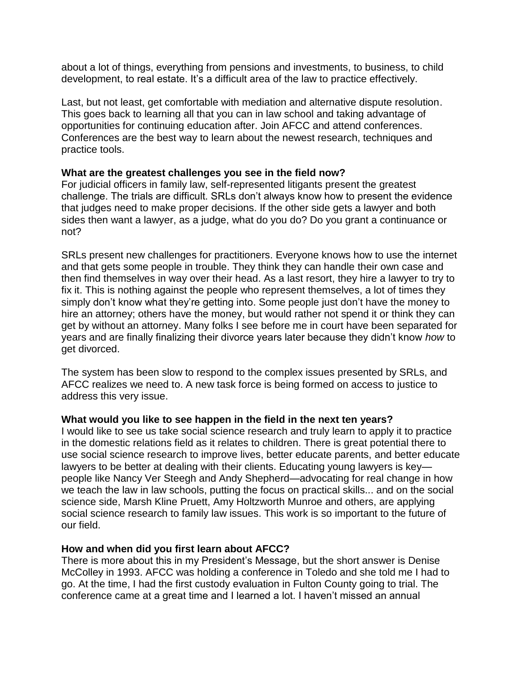about a lot of things, everything from pensions and investments, to business, to child development, to real estate. It's a difficult area of the law to practice effectively.

Last, but not least, get comfortable with mediation and alternative dispute resolution. This goes back to learning all that you can in law school and taking advantage of opportunities for continuing education after. Join AFCC and attend conferences. Conferences are the best way to learn about the newest research, techniques and practice tools.

## **What are the greatest challenges you see in the field now?**

For judicial officers in family law, self-represented litigants present the greatest challenge. The trials are difficult. SRLs don't always know how to present the evidence that judges need to make proper decisions. If the other side gets a lawyer and both sides then want a lawyer, as a judge, what do you do? Do you grant a continuance or not?

SRLs present new challenges for practitioners. Everyone knows how to use the internet and that gets some people in trouble. They think they can handle their own case and then find themselves in way over their head. As a last resort, they hire a lawyer to try to fix it. This is nothing against the people who represent themselves, a lot of times they simply don't know what they're getting into. Some people just don't have the money to hire an attorney; others have the money, but would rather not spend it or think they can get by without an attorney. Many folks I see before me in court have been separated for years and are finally finalizing their divorce years later because they didn't know *how* to get divorced.

The system has been slow to respond to the complex issues presented by SRLs, and AFCC realizes we need to. A new task force is being formed on access to justice to address this very issue.

### **What would you like to see happen in the field in the next ten years?**

I would like to see us take social science research and truly learn to apply it to practice in the domestic relations field as it relates to children. There is great potential there to use social science research to improve lives, better educate parents, and better educate lawyers to be better at dealing with their clients. Educating young lawyers is key people like Nancy Ver Steegh and Andy Shepherd—advocating for real change in how we teach the law in law schools, putting the focus on practical skills... and on the social science side, Marsh Kline Pruett, Amy Holtzworth Munroe and others, are applying social science research to family law issues. This work is so important to the future of our field.

### **How and when did you first learn about AFCC?**

There is more about this in my President's Message, but the short answer is Denise McColley in 1993. AFCC was holding a conference in Toledo and she told me I had to go. At the time, I had the first custody evaluation in Fulton County going to trial. The conference came at a great time and I learned a lot. I haven't missed an annual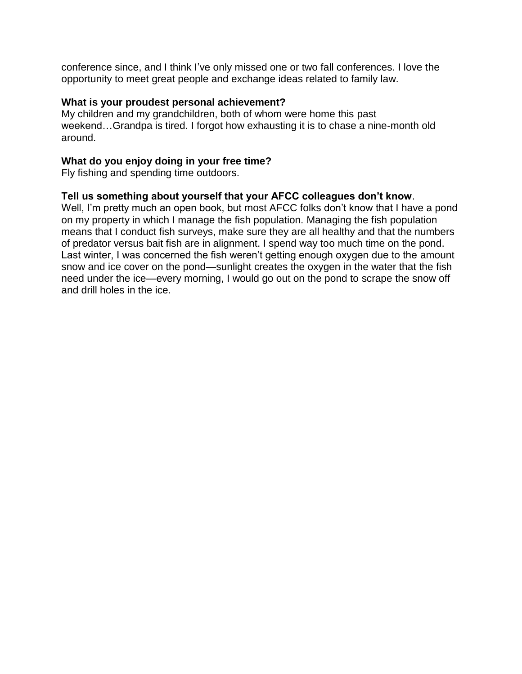conference since, and I think I've only missed one or two fall conferences. I love the opportunity to meet great people and exchange ideas related to family law.

## **What is your proudest personal achievement?**

My children and my grandchildren, both of whom were home this past weekend…Grandpa is tired. I forgot how exhausting it is to chase a nine-month old around.

## **What do you enjoy doing in your free time?**

Fly fishing and spending time outdoors.

## **Tell us something about yourself that your AFCC colleagues don't know**.

Well, I'm pretty much an open book, but most AFCC folks don't know that I have a pond on my property in which I manage the fish population. Managing the fish population means that I conduct fish surveys, make sure they are all healthy and that the numbers of predator versus bait fish are in alignment. I spend way too much time on the pond. Last winter, I was concerned the fish weren't getting enough oxygen due to the amount snow and ice cover on the pond—sunlight creates the oxygen in the water that the fish need under the ice—every morning, I would go out on the pond to scrape the snow off and drill holes in the ice.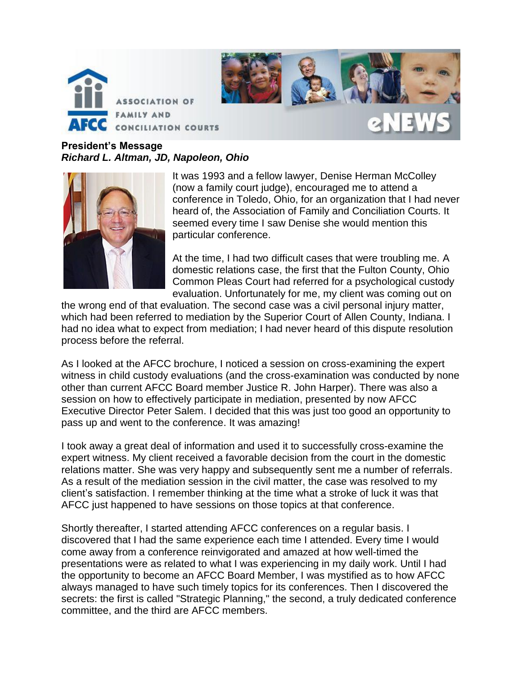



**President's Message** *Richard L. Altman, JD, Napoleon, Ohio*



It was 1993 and a fellow lawyer, Denise Herman McColley (now a family court judge), encouraged me to attend a conference in Toledo, Ohio, for an organization that I had never heard of, the Association of Family and Conciliation Courts. It seemed every time I saw Denise she would mention this particular conference.

At the time, I had two difficult cases that were troubling me. A domestic relations case, the first that the Fulton County, Ohio Common Pleas Court had referred for a psychological custody evaluation. Unfortunately for me, my client was coming out on

the wrong end of that evaluation. The second case was a civil personal injury matter, which had been referred to mediation by the Superior Court of Allen County, Indiana. I had no idea what to expect from mediation; I had never heard of this dispute resolution process before the referral.

As I looked at the AFCC brochure, I noticed a session on cross-examining the expert witness in child custody evaluations (and the cross-examination was conducted by none other than current AFCC Board member Justice R. John Harper). There was also a session on how to effectively participate in mediation, presented by now AFCC Executive Director Peter Salem. I decided that this was just too good an opportunity to pass up and went to the conference. It was amazing!

I took away a great deal of information and used it to successfully cross-examine the expert witness. My client received a favorable decision from the court in the domestic relations matter. She was very happy and subsequently sent me a number of referrals. As a result of the mediation session in the civil matter, the case was resolved to my client's satisfaction. I remember thinking at the time what a stroke of luck it was that AFCC just happened to have sessions on those topics at that conference.

Shortly thereafter, I started attending AFCC conferences on a regular basis. I discovered that I had the same experience each time I attended. Every time I would come away from a conference reinvigorated and amazed at how well-timed the presentations were as related to what I was experiencing in my daily work. Until I had the opportunity to become an AFCC Board Member, I was mystified as to how AFCC always managed to have such timely topics for its conferences. Then I discovered the secrets: the first is called "Strategic Planning," the second, a truly dedicated conference committee, and the third are AFCC members.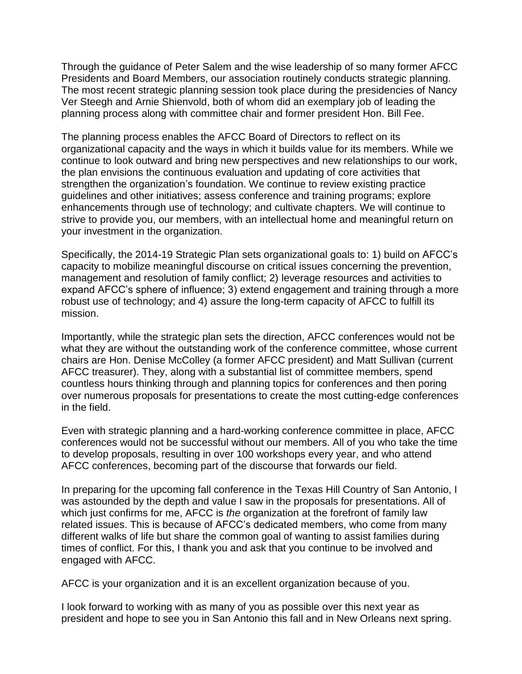Through the guidance of Peter Salem and the wise leadership of so many former AFCC Presidents and Board Members, our association routinely conducts strategic planning. The most recent strategic planning session took place during the presidencies of Nancy Ver Steegh and Arnie Shienvold, both of whom did an exemplary job of leading the planning process along with committee chair and former president Hon. Bill Fee.

The planning process enables the AFCC Board of Directors to reflect on its organizational capacity and the ways in which it builds value for its members. While we continue to look outward and bring new perspectives and new relationships to our work, the plan envisions the continuous evaluation and updating of core activities that strengthen the organization's foundation. We continue to review existing practice guidelines and other initiatives; assess conference and training programs; explore enhancements through use of technology; and cultivate chapters. We will continue to strive to provide you, our members, with an intellectual home and meaningful return on your investment in the organization.

Specifically, the 2014-19 Strategic Plan sets organizational goals to: 1) build on AFCC's capacity to mobilize meaningful discourse on critical issues concerning the prevention, management and resolution of family conflict; 2) leverage resources and activities to expand AFCC's sphere of influence; 3) extend engagement and training through a more robust use of technology; and 4) assure the long-term capacity of AFCC to fulfill its mission.

Importantly, while the strategic plan sets the direction, AFCC conferences would not be what they are without the outstanding work of the conference committee, whose current chairs are Hon. Denise McColley (a former AFCC president) and Matt Sullivan (current AFCC treasurer). They, along with a substantial list of committee members, spend countless hours thinking through and planning topics for conferences and then poring over numerous proposals for presentations to create the most cutting-edge conferences in the field.

Even with strategic planning and a hard-working conference committee in place, AFCC conferences would not be successful without our members. All of you who take the time to develop proposals, resulting in over 100 workshops every year, and who attend AFCC conferences, becoming part of the discourse that forwards our field.

In preparing for the upcoming fall conference in the Texas Hill Country of San Antonio, I was astounded by the depth and value I saw in the proposals for presentations. All of which just confirms for me, AFCC is *the* organization at the forefront of family law related issues. This is because of AFCC's dedicated members, who come from many different walks of life but share the common goal of wanting to assist families during times of conflict. For this, I thank you and ask that you continue to be involved and engaged with AFCC.

AFCC is your organization and it is an excellent organization because of you.

I look forward to working with as many of you as possible over this next year as president and hope to see you in San Antonio this fall and in New Orleans next spring.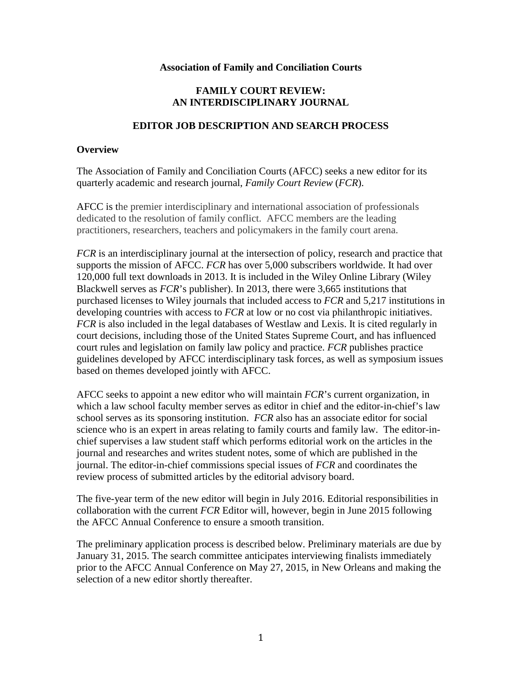### **Association of Family and Conciliation Courts**

### **FAMILY COURT REVIEW: AN INTERDISCIPLINARY JOURNAL**

### **EDITOR JOB DESCRIPTION AND SEARCH PROCESS**

### **Overview**

The Association of Family and Conciliation Courts (AFCC) seeks a new editor for its quarterly academic and research journal, *Family Court Review* (*FCR*).

AFCC is the premier interdisciplinary and international association of professionals dedicated to the resolution of family conflict. AFCC members are the leading practitioners, researchers, teachers and policymakers in the family court arena.

*FCR* is an interdisciplinary journal at the intersection of policy, research and practice that supports the mission of AFCC. *FCR* has over 5,000 subscribers worldwide. It had over 120,000 full text downloads in 2013. It is included in the Wiley Online Library (Wiley Blackwell serves as *FCR*'s publisher). In 2013, there were 3,665 institutions that purchased licenses to Wiley journals that included access to *FCR* and 5,217 institutions in developing countries with access to *FCR* at low or no cost via philanthropic initiatives. *FCR* is also included in the legal databases of Westlaw and Lexis. It is cited regularly in court decisions, including those of the United States Supreme Court, and has influenced court rules and legislation on family law policy and practice. *FCR* publishes practice guidelines developed by AFCC interdisciplinary task forces, as well as symposium issues based on themes developed jointly with AFCC.

AFCC seeks to appoint a new editor who will maintain *FCR*'s current organization, in which a law school faculty member serves as editor in chief and the editor-in-chief's law school serves as its sponsoring institution. *FCR* also has an associate editor for social science who is an expert in areas relating to family courts and family law. The editor-inchief supervises a law student staff which performs editorial work on the articles in the journal and researches and writes student notes, some of which are published in the journal. The editor-in-chief commissions special issues of *FCR* and coordinates the review process of submitted articles by the editorial advisory board.

The five-year term of the new editor will begin in July 2016. Editorial responsibilities in collaboration with the current *FCR* Editor will, however, begin in June 2015 following the AFCC Annual Conference to ensure a smooth transition.

The preliminary application process is described below. Preliminary materials are due by January 31, 2015. The search committee anticipates interviewing finalists immediately prior to the AFCC Annual Conference on May 27, 2015, in New Orleans and making the selection of a new editor shortly thereafter.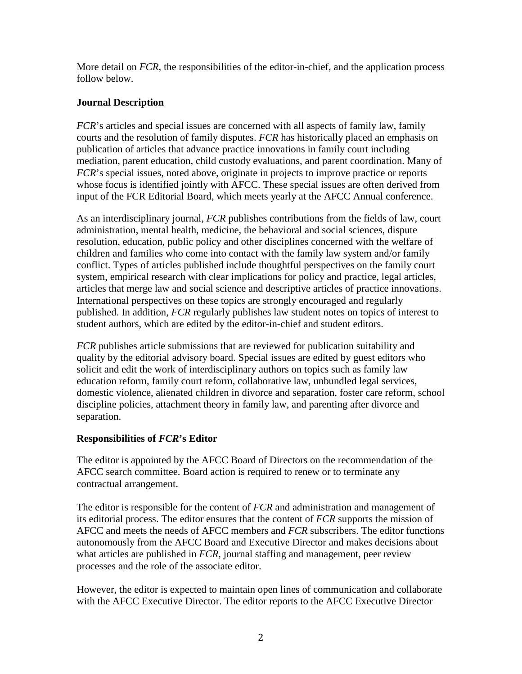More detail on *FCR*, the responsibilities of the editor-in-chief, and the application process follow below.

# **Journal Description**

*FCR*'s articles and special issues are concerned with all aspects of family law, family courts and the resolution of family disputes. *FCR* has historically placed an emphasis on publication of articles that advance practice innovations in family court including mediation, parent education, child custody evaluations, and parent coordination. Many of *FCR*'s special issues, noted above, originate in projects to improve practice or reports whose focus is identified jointly with AFCC. These special issues are often derived from input of the FCR Editorial Board, which meets yearly at the AFCC Annual conference.

As an interdisciplinary journal, *FCR* publishes contributions from the fields of law, court administration, mental health, medicine, the behavioral and social sciences, dispute resolution, education, public policy and other disciplines concerned with the welfare of children and families who come into contact with the family law system and/or family conflict. Types of articles published include thoughtful perspectives on the family court system, empirical research with clear implications for policy and practice, legal articles, articles that merge law and social science and descriptive articles of practice innovations. International perspectives on these topics are strongly encouraged and regularly published. In addition, *FCR* regularly publishes law student notes on topics of interest to student authors, which are edited by the editor-in-chief and student editors.

*FCR* publishes article submissions that are reviewed for publication suitability and quality by the editorial advisory board. Special issues are edited by guest editors who solicit and edit the work of interdisciplinary authors on topics such as family law education reform, family court reform, collaborative law, unbundled legal services, domestic violence, alienated children in divorce and separation, foster care reform, school discipline policies, attachment theory in family law, and parenting after divorce and separation.

# **Responsibilities of** *FCR***'s Editor**

The editor is appointed by the AFCC Board of Directors on the recommendation of the AFCC search committee. Board action is required to renew or to terminate any contractual arrangement.

The editor is responsible for the content of *FCR* and administration and management of its editorial process. The editor ensures that the content of *FCR* supports the mission of AFCC and meets the needs of AFCC members and *FCR* subscribers. The editor functions autonomously from the AFCC Board and Executive Director and makes decisions about what articles are published in *FCR*, journal staffing and management, peer review processes and the role of the associate editor.

However, the editor is expected to maintain open lines of communication and collaborate with the AFCC Executive Director. The editor reports to the AFCC Executive Director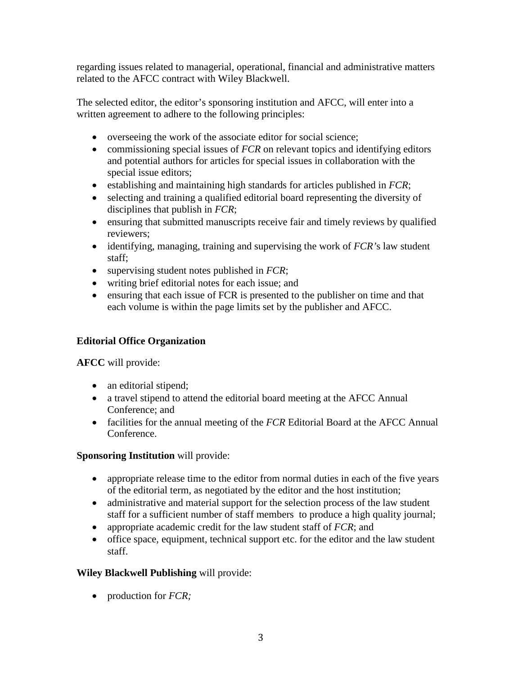regarding issues related to managerial, operational, financial and administrative matters related to the AFCC contract with Wiley Blackwell.

The selected editor, the editor's sponsoring institution and AFCC, will enter into a written agreement to adhere to the following principles:

- overseeing the work of the associate editor for social science;
- commissioning special issues of *FCR* on relevant topics and identifying editors and potential authors for articles for special issues in collaboration with the special issue editors;
- establishing and maintaining high standards for articles published in *FCR*;
- selecting and training a qualified editorial board representing the diversity of disciplines that publish in *FCR*;
- ensuring that submitted manuscripts receive fair and timely reviews by qualified reviewers;
- identifying, managing, training and supervising the work of *FCR'*s law student staff;
- supervising student notes published in *FCR*;
- writing brief editorial notes for each issue; and
- ensuring that each issue of FCR is presented to the publisher on time and that each volume is within the page limits set by the publisher and AFCC.

# **Editorial Office Organization**

**AFCC** will provide:

- an editorial stipend;
- a travel stipend to attend the editorial board meeting at the AFCC Annual Conference; and
- facilities for the annual meeting of the *FCR* Editorial Board at the AFCC Annual Conference.

# **Sponsoring Institution** will provide:

- appropriate release time to the editor from normal duties in each of the five years of the editorial term, as negotiated by the editor and the host institution;
- administrative and material support for the selection process of the law student staff for a sufficient number of staff members to produce a high quality journal;
- appropriate academic credit for the law student staff of *FCR*; and
- office space, equipment, technical support etc. for the editor and the law student staff.

# **Wiley Blackwell Publishing** will provide:

• production for *FCR;*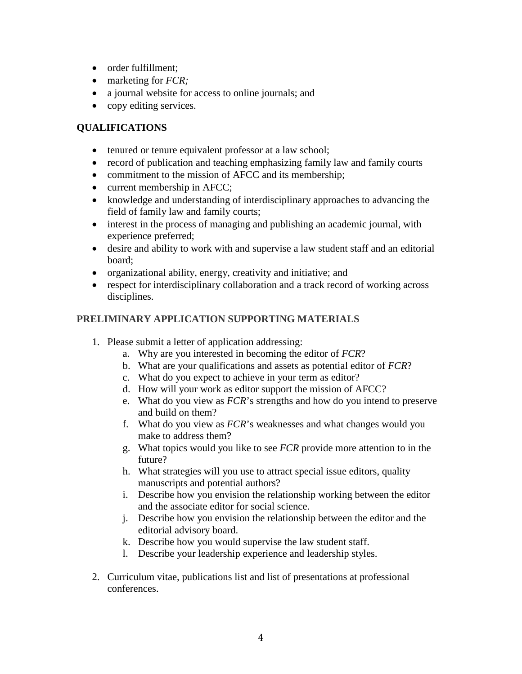- order fulfillment;
- marketing for *FCR;*
- a journal website for access to online journals; and
- copy editing services.

# **QUALIFICATIONS**

- tenured or tenure equivalent professor at a law school;
- record of publication and teaching emphasizing family law and family courts
- commitment to the mission of AFCC and its membership;
- current membership in AFCC;
- knowledge and understanding of interdisciplinary approaches to advancing the field of family law and family courts;
- interest in the process of managing and publishing an academic journal, with experience preferred;
- desire and ability to work with and supervise a law student staff and an editorial board;
- organizational ability, energy, creativity and initiative; and
- respect for interdisciplinary collaboration and a track record of working across disciplines.

# **PRELIMINARY APPLICATION SUPPORTING MATERIALS**

- 1. Please submit a letter of application addressing:
	- a. Why are you interested in becoming the editor of *FCR*?
	- b. What are your qualifications and assets as potential editor of *FCR*?
	- c. What do you expect to achieve in your term as editor?
	- d. How will your work as editor support the mission of AFCC?
	- e. What do you view as *FCR*'s strengths and how do you intend to preserve and build on them?
	- f. What do you view as *FCR*'s weaknesses and what changes would you make to address them?
	- g. What topics would you like to see *FCR* provide more attention to in the future?
	- h. What strategies will you use to attract special issue editors, quality manuscripts and potential authors?
	- i. Describe how you envision the relationship working between the editor and the associate editor for social science.
	- j. Describe how you envision the relationship between the editor and the editorial advisory board.
	- k. Describe how you would supervise the law student staff.
	- l. Describe your leadership experience and leadership styles.
- 2. Curriculum vitae, publications list and list of presentations at professional conferences.